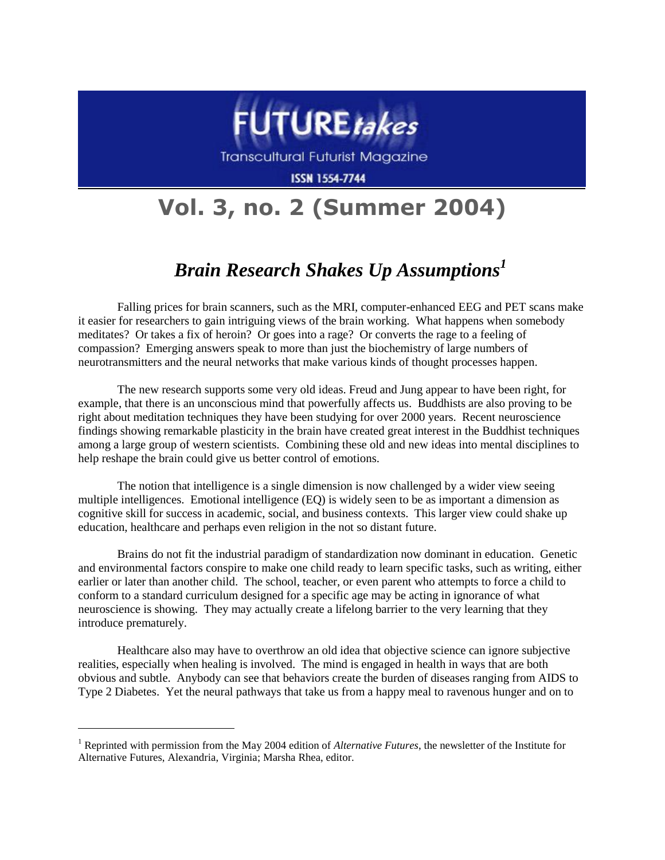

**Transcultural Futurist Magazine** 

**ISSN 1554-7744** 

## **Vol. 3, no. 2 (Summer 2004)**

## *Brain Research Shakes Up Assumptions<sup>1</sup>*

Falling prices for brain scanners, such as the MRI, computer-enhanced EEG and PET scans make it easier for researchers to gain intriguing views of the brain working. What happens when somebody meditates? Or takes a fix of heroin? Or goes into a rage? Or converts the rage to a feeling of compassion? Emerging answers speak to more than just the biochemistry of large numbers of neurotransmitters and the neural networks that make various kinds of thought processes happen.

The new research supports some very old ideas. Freud and Jung appear to have been right, for example, that there is an unconscious mind that powerfully affects us. Buddhists are also proving to be right about meditation techniques they have been studying for over 2000 years. Recent neuroscience findings showing remarkable plasticity in the brain have created great interest in the Buddhist techniques among a large group of western scientists. Combining these old and new ideas into mental disciplines to help reshape the brain could give us better control of emotions.

The notion that intelligence is a single dimension is now challenged by a wider view seeing multiple intelligences. Emotional intelligence (EQ) is widely seen to be as important a dimension as cognitive skill for success in academic, social, and business contexts. This larger view could shake up education, healthcare and perhaps even religion in the not so distant future.

Brains do not fit the industrial paradigm of standardization now dominant in education. Genetic and environmental factors conspire to make one child ready to learn specific tasks, such as writing, either earlier or later than another child. The school, teacher, or even parent who attempts to force a child to conform to a standard curriculum designed for a specific age may be acting in ignorance of what neuroscience is showing. They may actually create a lifelong barrier to the very learning that they introduce prematurely.

Healthcare also may have to overthrow an old idea that objective science can ignore subjective realities, especially when healing is involved. The mind is engaged in health in ways that are both obvious and subtle. Anybody can see that behaviors create the burden of diseases ranging from AIDS to Type 2 Diabetes. Yet the neural pathways that take us from a happy meal to ravenous hunger and on to

 $\overline{a}$ 

<sup>1</sup> Reprinted with permission from the May 2004 edition of *Alternative Futures*, the newsletter of the Institute for Alternative Futures, Alexandria, Virginia; Marsha Rhea, editor.